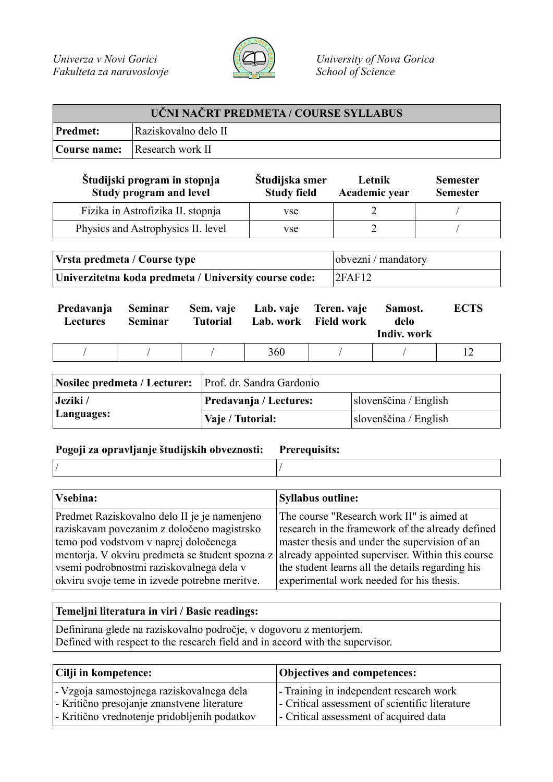

| UČNI NAČRT PREDMETA / COURSE SYLLABUS |                                      |  |  |
|---------------------------------------|--------------------------------------|--|--|
| Predmet:                              | Raziskovalno delo II                 |  |  |
|                                       | <b>Course name:</b> Research work II |  |  |

| Študijski program in stopnja<br>Study program and level | Študijska smer<br><b>Study field</b> | Letnik<br>Academic year | <b>Semester</b><br><b>Semester</b> |
|---------------------------------------------------------|--------------------------------------|-------------------------|------------------------------------|
| Fizika in Astrofizika II. stopnja                       | <b>vse</b>                           |                         |                                    |
| Physics and Astrophysics II. level                      | <b>vse</b>                           |                         |                                    |

| Vrsta predmeta / Course type                          | obvezni / mandatory |
|-------------------------------------------------------|---------------------|
| Univerzitetna koda predmeta / University course code: | 2FAF12              |

| Predavanja<br><b>Lectures</b> | Seminar<br>Seminar | <b>Tutorial</b> | Sem. vaje Lab. vaje Teren. vaje | Lab. work Field work | Samost.<br>delo<br>Indiv. work | <b>ECTS</b> |
|-------------------------------|--------------------|-----------------|---------------------------------|----------------------|--------------------------------|-------------|
|                               |                    |                 | 360                             |                      |                                |             |

| Nosilec predmeta / Lecturer: Prof. dr. Sandra Gardonio |                        |                       |  |
|--------------------------------------------------------|------------------------|-----------------------|--|
| Jeziki /                                               | Predavanja / Lectures: | slovenščina / English |  |
| Languages:                                             | Vaje / Tutorial:       | slovenščina / English |  |

## **Pogoji za opravljanje študijskih obveznosti: Prerequisits:**

| <b>Syllabus outline:</b>                                                                                                                                                                                                                                                                                  |
|-----------------------------------------------------------------------------------------------------------------------------------------------------------------------------------------------------------------------------------------------------------------------------------------------------------|
| The course "Research work II" is aimed at<br>research in the framework of the already defined<br>master thesis and under the supervision of an<br>mentorja. V okviru predmeta se študent spozna z<br>already appointed superviser. Within this course<br>the student learns all the details regarding his |
| experimental work needed for his thesis.                                                                                                                                                                                                                                                                  |
|                                                                                                                                                                                                                                                                                                           |

## **Temeljni literatura in viri / Basic readings:**

Definirana glede na raziskovalno področje, v dogovoru z mentorjem. Defined with respect to the research field and in accord with the supervisor.

| Cilji in kompetence:                         | Objectives and competences:                    |
|----------------------------------------------|------------------------------------------------|
| - Vzgoja samostojnega raziskovalnega dela    | - Training in independent research work        |
| - Kritično presojanje znanstvene literature  | - Critical assessment of scientific literature |
| - Kritično vrednotenje pridobljenih podatkov | - Critical assessment of acquired data         |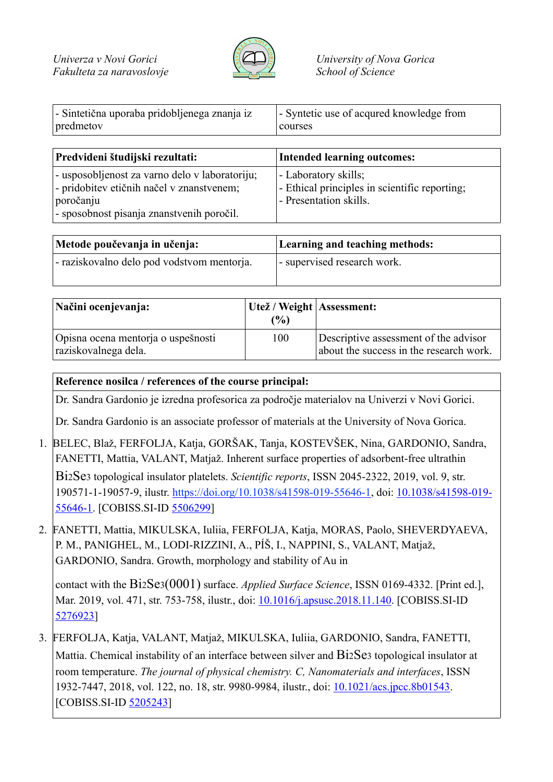

| - Sintetična uporaba pridobljenega znanja iz | - Syntetic use of acqured knowledge from |
|----------------------------------------------|------------------------------------------|
| predmetov                                    | courses                                  |

| Predvideni študijski rezultati:                                                                                                                       | <b>Intended learning outcomes:</b>                                                              |  |
|-------------------------------------------------------------------------------------------------------------------------------------------------------|-------------------------------------------------------------------------------------------------|--|
| - usposobljenost za varno delo v laboratoriju;<br>- pridobitev etičnih načel v znanstvenem;<br>poročanju<br>- sposobnost pisanja znanstvenih poročil. | - Laboratory skills;<br>- Ethical principles in scientific reporting;<br>- Presentation skills. |  |

| Metode poučevanja in učenja:               | Learning and teaching methods: |  |
|--------------------------------------------|--------------------------------|--|
| - raziskovalno delo pod vodstvom mentorja. | - supervised research work.    |  |

| Načini ocenjevanja:                                        | Utež / Weight   Assessment:<br>(%) |                                                                                  |
|------------------------------------------------------------|------------------------------------|----------------------------------------------------------------------------------|
| Opisna ocena mentoria o uspešnosti<br>raziskovalnega dela. | 100                                | Descriptive assessment of the advisor<br>about the success in the research work. |

## **Reference nosilca / references of the course principal:**

Dr. Sandra Gardonio je izredna profesorica za področje materialov na Univerzi v Novi Gorici.

Dr. Sandra Gardonio is an associate professor of materials at the University of Nova Gorica.

- 1. BELEC, Blaž, FERFOLJA, Katja, GORŠAK, Tanja, KOSTEVŠEK, Nina, GARDONIO, Sandra, FANETTI, Mattia, VALANT, Matjaž. Inherent surface properties of adsorbent-free ultrathin Bi2Se3 topological insulator platelets. *Scientific reports*, ISSN 2045-2322, 2019, vol. 9, str. 190571-1-19057-9, ilustr. https://doi.org/10.1038/s41598-019-55646-1, doi: 10.1038/s41598-019- 55646-1. [COBISS.SI-ID 5506299]
- 2. FANETTI, Mattia, MIKULSKA, Iuliia, FERFOLJA, Katja, MORAS, Paolo, SHEVERDYAEVA, P. M., PANIGHEL, M., LODI-RIZZINI, A., PÍŠ, I., NAPPINI, S., VALANT, Matjaž, GARDONIO, Sandra. Growth, morphology and stability of Au in

contact with the Bi2Se3(0001) surface. *Applied Surface Science*, ISSN 0169-4332. [Print ed.], Mar. 2019, vol. 471, str. 753-758, ilustr., doi: 10.1016/j.apsusc.2018.11.140. [COBISS.SI-ID 5276923]

3. FERFOLJA, Katja, VALANT, Matjaž, MIKULSKA, Iuliia, GARDONIO, Sandra, FANETTI, Mattia. Chemical instability of an interface between silver and Bi2Se3 topological insulator at room temperature. *The journal of physical chemistry. C, Nanomaterials and interfaces*, ISSN 1932-7447, 2018, vol. 122, no. 18, str. 9980-9984, ilustr., doi: 10.1021/acs.jpcc.8b01543. [COBISS.SI-ID 5205243]